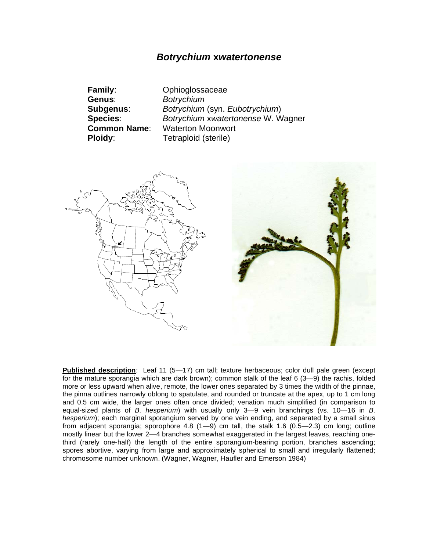## *Botrychium* **x***watertonense*

| <b>Family:</b>      | Ophioglossaceae                    |
|---------------------|------------------------------------|
| Genus:              | <b>Botrychium</b>                  |
| Subgenus:           | Botrychium (syn. Eubotrychium)     |
| <b>Species:</b>     | Botrychium xwatertonense W. Wagner |
| <b>Common Name:</b> | <b>Waterton Moonwort</b>           |
| <b>Ploidy:</b>      | Tetraploid (sterile)               |
|                     |                                    |



**Published description**: Leaf 11 (5—17) cm tall; texture herbaceous; color dull pale green (except for the mature sporangia which are dark brown); common stalk of the leaf 6 (3—9) the rachis, folded more or less upward when alive, remote, the lower ones separated by 3 times the width of the pinnae, the pinna outlines narrowly oblong to spatulate, and rounded or truncate at the apex, up to 1 cm long and 0.5 cm wide, the larger ones often once divided; venation much simplified (in comparison to equal-sized plants of *B. hesperium*) with usually only 3—9 vein branchings (vs. 10—16 in *B. hesperium*); each marginal sporangium served by one vein ending, and separated by a small sinus from adjacent sporangia; sporophore 4.8  $(1-9)$  cm tall, the stalk 1.6  $(0.5-2.3)$  cm long; outline mostly linear but the lower 2—4 branches somewhat exaggerated in the largest leaves, reaching onethird (rarely one-half) the length of the entire sporangium-bearing portion, branches ascending; spores abortive, varying from large and approximately spherical to small and irregularly flattened; chromosome number unknown. (Wagner, Wagner, Haufler and Emerson 1984)